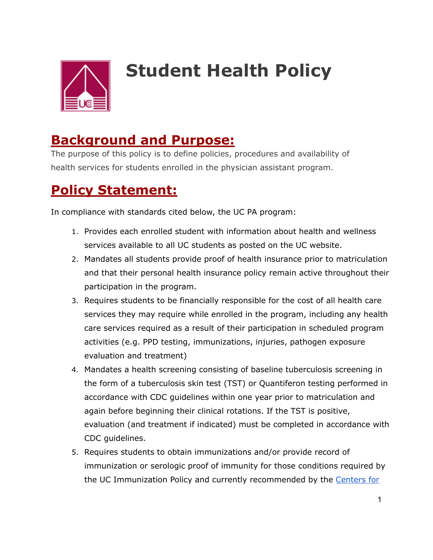

# **Student Health Policy**

### **Background and Purpose:**

The purpose of this policy is to define policies, procedures and availability of health services for students enrolled in the physician assistant program.

## **Policy Statement:**

In compliance with standards cited below, the UC PA program:

- 1. Provides each enrolled student with information about health and wellness services available to all UC students as posted on the UC website.
- 2. Mandates all students provide proof of health insurance prior to matriculation and that their personal health insurance policy remain active throughout their participation in the program.
- 3. Requires students to be financially responsible for the cost of all health care services they may require while enrolled in the program, including any health care services required as a result of their participation in scheduled program activities (e.g. PPD testing, immunizations, injuries, pathogen exposure evaluation and treatment)
- 4. Mandates a health screening consisting of baseline tuberculosis screening in the form of a tuberculosis skin test (TST) or Quantiferon testing performed in accordance with CDC guidelines within one year prior to matriculation and again before beginning their clinical rotations. If the TST is positive, evaluation (and treatment if indicated) must be completed in accordance with CDC guidelines.
- 5. Requires students to obtain immunizations and/or provide record of immunization or serologic proof of immunity for those conditions required by the UC Immunization Policy and currently recommended by the Centers for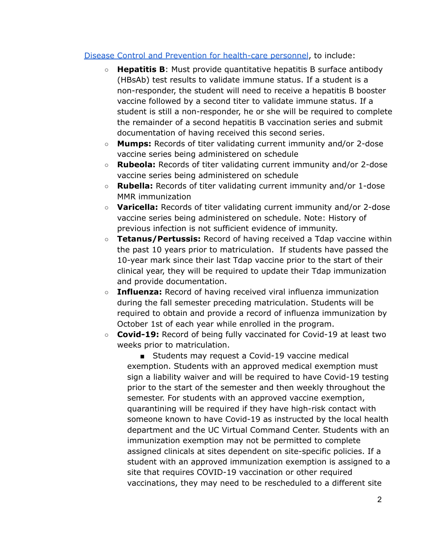#### Disease Control and Prevention for health-care personnel, to include:

- **Hepatitis B**: Must provide quantitative hepatitis B surface antibody (HBsAb) test results to validate immune status. If a student is a non-responder, the student will need to receive a hepatitis B booster vaccine followed by a second titer to validate immune status. If a student is still a non-responder, he or she will be required to complete the remainder of a second hepatitis B vaccination series and submit documentation of having received this second series.
- **Mumps:** Records of titer validating current immunity and/or 2-dose vaccine series being administered on schedule
- **Rubeola:** Records of titer validating current immunity and/or 2-dose vaccine series being administered on schedule
- **Rubella:** Records of titer validating current immunity and/or 1-dose MMR immunization
- **Varicella:** Records of titer validating current immunity and/or 2-dose vaccine series being administered on schedule. Note: History of previous infection is not sufficient evidence of immunity.
- **Tetanus/Pertussis:** Record of having received a Tdap vaccine within the past 10 years prior to matriculation. If students have passed the 10-year mark since their last Tdap vaccine prior to the start of their clinical year, they will be required to update their Tdap immunization and provide documentation.
- **Influenza:** Record of having received viral influenza immunization during the fall semester preceding matriculation. Students will be required to obtain and provide a record of influenza immunization by October 1st of each year while enrolled in the program.
- **○ Covid-19:** Record of being fully vaccinated for Covid-19 at least two weeks prior to matriculation.

■ Students may request a Covid-19 vaccine medical exemption. Students with an approved medical exemption must sign a liability waiver and will be required to have Covid-19 testing prior to the start of the semester and then weekly throughout the semester. For students with an approved vaccine exemption, quarantining will be required if they have high-risk contact with someone known to have Covid-19 as instructed by the local health department and the UC Virtual Command Center. Students with an immunization exemption may not be permitted to complete assigned clinicals at sites dependent on site-specific policies. If a student with an approved immunization exemption is assigned to a site that requires COVID-19 vaccination or other required vaccinations, they may need to be rescheduled to a different site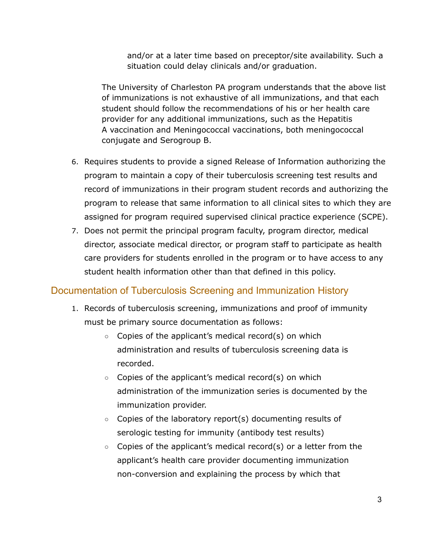and/or at a later time based on preceptor/site availability. Such a situation could delay clinicals and/or graduation.

The University of Charleston PA program understands that the above list of immunizations is not exhaustive of all immunizations, and that each student should follow the recommendations of his or her health care provider for any additional immunizations, such as the Hepatitis A vaccination and Meningococcal vaccinations, both meningococcal conjugate and Serogroup B.

- 6. Requires students to provide a signed Release of Information authorizing the program to maintain a copy of their tuberculosis screening test results and record of immunizations in their program student records and authorizing the program to release that same information to all clinical sites to which they are assigned for program required supervised clinical practice experience (SCPE).
- 7. Does not permit the principal program faculty, program director, medical director, associate medical director, or program staff to participate as health care providers for students enrolled in the program or to have access to any student health information other than that defined in this policy.

### Documentation of Tuberculosis Screening and Immunization History

- 1. Records of tuberculosis screening, immunizations and proof of immunity must be primary source documentation as follows:
	- Copies of the applicant's medical record(s) on which administration and results of tuberculosis screening data is recorded.
	- $\circ$  Copies of the applicant's medical record(s) on which administration of the immunization series is documented by the immunization provider.
	- Copies of the laboratory report(s) documenting results of serologic testing for immunity (antibody test results)
	- $\circ$  Copies of the applicant's medical record(s) or a letter from the applicant's health care provider documenting immunization non-conversion and explaining the process by which that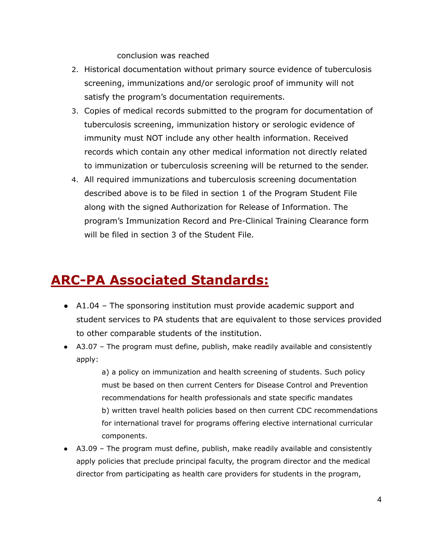conclusion was reached

- 2. Historical documentation without primary source evidence of tuberculosis screening, immunizations and/or serologic proof of immunity will not satisfy the program's documentation requirements.
- 3. Copies of medical records submitted to the program for documentation of tuberculosis screening, immunization history or serologic evidence of immunity must NOT include any other health information. Received records which contain any other medical information not directly related to immunization or tuberculosis screening will be returned to the sender.
- 4. All required immunizations and tuberculosis screening documentation described above is to be filed in section 1 of the Program Student File along with the signed Authorization for Release of Information. The program's Immunization Record and Pre-Clinical Training Clearance form will be filed in section 3 of the Student File.

## **ARC-PA Associated Standards:**

- A1.04 The sponsoring institution must provide academic support and student services to PA students that are equivalent to those services provided to other comparable students of the institution.
- A3.07 The program must define, publish, make readily available and consistently apply:

a) a policy on immunization and health screening of students. Such policy must be based on then current Centers for Disease Control and Prevention recommendations for health professionals and state specific mandates b) written travel health policies based on then current CDC recommendations for international travel for programs offering elective international curricular components.

● A3.09 – The program must define, publish, make readily available and consistently apply policies that preclude principal faculty, the program director and the medical director from participating as health care providers for students in the program,